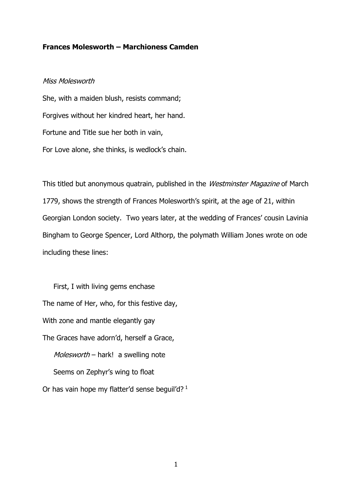# **Frances Molesworth – Marchioness Camden**

## Miss Molesworth

She, with a maiden blush, resists command; Forgives without her kindred heart, her hand. Fortune and Title sue her both in vain, For Love alone, she thinks, is wedlock's chain.

This titled but anonymous quatrain, published in the Westminster Magazine of March 1779, shows the strength of Frances Molesworth's spirit, at the age of 21, within Georgian London society. Two years later, at the wedding of Frances' cousin Lavinia Bingham to George Spencer, Lord Althorp, the polymath William Jones wrote on ode including these lines:

 First, I with living gems enchase The name of Her, who, for this festive day, With zone and mantle elegantly gay The Graces have adorn'd, herself a Grace, Molesworth – hark! a swelling note Seems on Zephyr's wing to float Or has vain hope my flatter'd sense beguil'd?<sup>1</sup>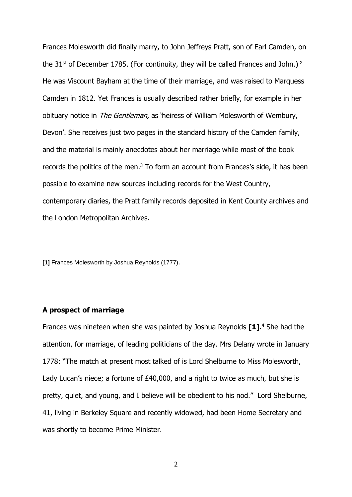Frances Molesworth did finally marry, to John Jeffreys Pratt, son of Earl Camden, on the  $31<sup>st</sup>$  of December 1785. (For continuity, they will be called Frances and John.)<sup>2</sup> He was Viscount Bayham at the time of their marriage, and was raised to Marquess Camden in 1812. Yet Frances is usually described rather briefly, for example in her obituary notice in *The Gentleman*, as 'heiress of William Molesworth of Wembury, Devon'. She receives just two pages in the standard history of the Camden family, and the material is mainly anecdotes about her marriage while most of the book records the politics of the men. $3$  To form an account from Frances's side, it has been possible to examine new sources including records for the West Country, contemporary diaries, the Pratt family records deposited in Kent County archives and the London Metropolitan Archives.

**[1]** Frances Molesworth by Joshua Reynolds (1777).

## **A prospect of marriage**

Frances was nineteen when she was painted by Joshua Reynolds **[1]**. <sup>4</sup> She had the attention, for marriage, of leading politicians of the day. Mrs Delany wrote in January 1778: "The match at present most talked of is Lord Shelburne to Miss Molesworth, Lady Lucan's niece; a fortune of £40,000, and a right to twice as much, but she is pretty, quiet, and young, and I believe will be obedient to his nod." Lord Shelburne, 41, living in Berkeley Square and recently widowed, had been Home Secretary and was shortly to become Prime Minister.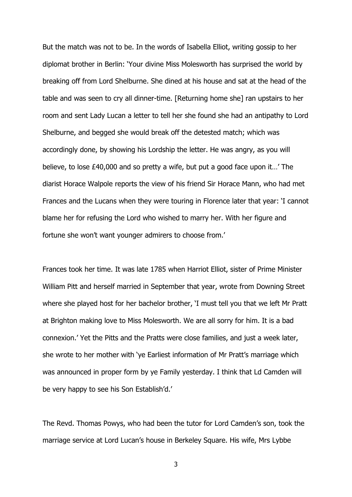But the match was not to be. In the words of Isabella Elliot, writing gossip to her diplomat brother in Berlin: 'Your divine Miss Molesworth has surprised the world by breaking off from Lord Shelburne. She dined at his house and sat at the head of the table and was seen to cry all dinner-time. [Returning home she] ran upstairs to her room and sent Lady Lucan a letter to tell her she found she had an antipathy to Lord Shelburne, and begged she would break off the detested match; which was accordingly done, by showing his Lordship the letter. He was angry, as you will believe, to lose £40,000 and so pretty a wife, but put a good face upon it…' The diarist Horace Walpole reports the view of his friend Sir Horace Mann, who had met Frances and the Lucans when they were touring in Florence later that year: 'I cannot blame her for refusing the Lord who wished to marry her. With her figure and fortune she won't want younger admirers to choose from.'

Frances took her time. It was late 1785 when Harriot Elliot, sister of Prime Minister William Pitt and herself married in September that year, wrote from Downing Street where she played host for her bachelor brother, 'I must tell you that we left Mr Pratt at Brighton making love to Miss Molesworth. We are all sorry for him. It is a bad connexion.' Yet the Pitts and the Pratts were close families, and just a week later, she wrote to her mother with 'ye Earliest information of Mr Pratt's marriage which was announced in proper form by ye Family yesterday. I think that Ld Camden will be very happy to see his Son Establish'd.'

The Revd. Thomas Powys, who had been the tutor for Lord Camden's son, took the marriage service at Lord Lucan's house in Berkeley Square. His wife, Mrs Lybbe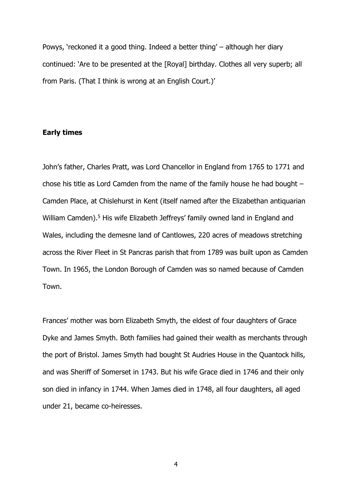Powys, 'reckoned it a good thing. Indeed a better thing' – although her diary continued: 'Are to be presented at the [Royal] birthday. Clothes all very superb; all from Paris. (That I think is wrong at an English Court.)'

### **Early times**

John's father, Charles Pratt, was Lord Chancellor in England from 1765 to 1771 and chose his title as Lord Camden from the name of the family house he had bought – Camden Place, at Chislehurst in Kent (itself named after the Elizabethan antiquarian William Camden).<sup>5</sup> His wife Elizabeth Jeffreys' family owned land in England and Wales, including the demesne land of Cantlowes, 220 acres of meadows stretching across the River Fleet in St Pancras parish that from 1789 was built upon as Camden Town. In 1965, the London Borough of Camden was so named because of Camden Town.

Frances' mother was born Elizabeth Smyth, the eldest of four daughters of Grace Dyke and James Smyth. Both families had gained their wealth as merchants through the port of Bristol. James Smyth had bought St Audries House in the Quantock hills, and was Sheriff of Somerset in 1743. But his wife Grace died in 1746 and their only son died in infancy in 1744. When James died in 1748, all four daughters, all aged under 21, became co-heiresses.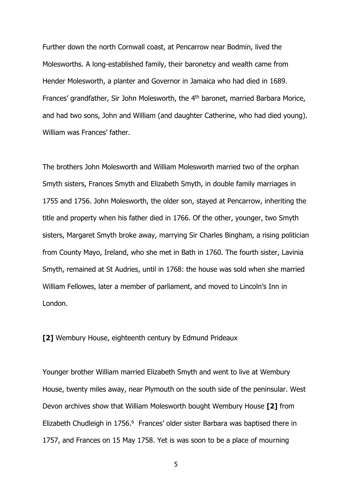Further down the north Cornwall coast, at Pencarrow near Bodmin, lived the Molesworths. A long-established family, their baronetcy and wealth came from Hender Molesworth, a planter and Governor in Jamaica who had died in 1689. Frances' grandfather, Sir John Molesworth, the 4<sup>th</sup> baronet, married Barbara Morice, and had two sons, John and William (and daughter Catherine, who had died young). William was Frances' father.

The brothers John Molesworth and William Molesworth married two of the orphan Smyth sisters, Frances Smyth and Elizabeth Smyth, in double family marriages in 1755 and 1756. John Molesworth, the older son, stayed at Pencarrow, inheriting the title and property when his father died in 1766. Of the other, younger, two Smyth sisters, Margaret Smyth broke away, marrying Sir Charles Bingham, a rising politician from County Mayo, Ireland, who she met in Bath in 1760. The fourth sister, Lavinia Smyth, remained at St Audries, until in 1768: the house was sold when she married William Fellowes, later a member of parliament, and moved to Lincoln's Inn in London.

**[2]** Wembury House, eighteenth century by Edmund Prideaux

Younger brother William married Elizabeth Smyth and went to live at Wembury House, twenty miles away, near Plymouth on the south side of the peninsular. West Devon archives show that William Molesworth bought Wembury House **[2]** from Elizabeth Chudleigh in 1756.<sup>6</sup> Frances' older sister Barbara was baptised there in 1757, and Frances on 15 May 1758. Yet is was soon to be a place of mourning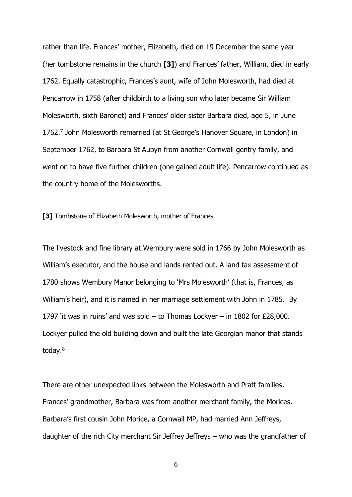rather than life. Frances' mother, Elizabeth, died on 19 December the same year (her tombstone remains in the church **[3]**) and Frances' father, William, died in early 1762. Equally catastrophic, Frances's aunt, wife of John Molesworth, had died at Pencarrow in 1758 (after childbirth to a living son who later became Sir William Molesworth, sixth Baronet) and Frances' older sister Barbara died, age 5, in June 1762.<sup>7</sup> John Molesworth remarried (at St George's Hanover Square, in London) in September 1762, to Barbara St Aubyn from another Cornwall gentry family, and went on to have five further children (one gained adult life). Pencarrow continued as the country home of the Molesworths.

**[3]** Tombstone of Elizabeth Molesworth, mother of Frances

The livestock and fine library at Wembury were sold in 1766 by John Molesworth as William's executor, and the house and lands rented out. A land tax assessment of 1780 shows Wembury Manor belonging to 'Mrs Molesworth' (that is, Frances, as William's heir), and it is named in her marriage settlement with John in 1785. By 1797 'it was in ruins' and was sold  $-$  to Thomas Lockyer  $-$  in 1802 for £28,000. Lockyer pulled the old building down and built the late Georgian manor that stands today.<sup>8</sup>

There are other unexpected links between the Molesworth and Pratt families. Frances' grandmother, Barbara was from another merchant family, the Morices. Barbara's first cousin John Morice, a Cornwall MP, had married Ann Jeffreys, daughter of the rich City merchant Sir Jeffrey Jeffreys – who was the grandfather of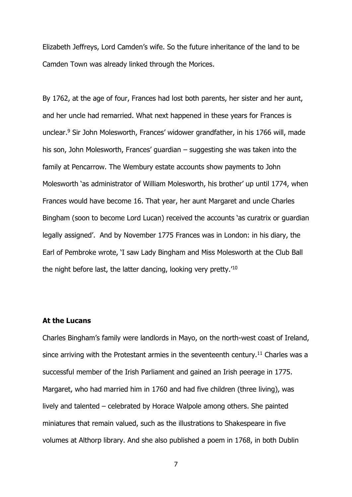Elizabeth Jeffreys, Lord Camden's wife. So the future inheritance of the land to be Camden Town was already linked through the Morices.

By 1762, at the age of four, Frances had lost both parents, her sister and her aunt, and her uncle had remarried. What next happened in these years for Frances is unclear.<sup>9</sup> Sir John Molesworth, Frances' widower grandfather, in his 1766 will, made his son, John Molesworth, Frances' guardian – suggesting she was taken into the family at Pencarrow. The Wembury estate accounts show payments to John Molesworth 'as administrator of William Molesworth, his brother' up until 1774, when Frances would have become 16. That year, her aunt Margaret and uncle Charles Bingham (soon to become Lord Lucan) received the accounts 'as curatrix or guardian legally assigned'. And by November 1775 Frances was in London: in his diary, the Earl of Pembroke wrote, 'I saw Lady Bingham and Miss Molesworth at the Club Ball the night before last, the latter dancing, looking very pretty.'<sup>10</sup>

# **At the Lucans**

Charles Bingham's family were landlords in Mayo, on the north-west coast of Ireland, since arriving with the Protestant armies in the seventeenth century.<sup>11</sup> Charles was a successful member of the Irish Parliament and gained an Irish peerage in 1775. Margaret, who had married him in 1760 and had five children (three living), was lively and talented – celebrated by Horace Walpole among others. She painted miniatures that remain valued, such as the illustrations to Shakespeare in five volumes at Althorp library. And she also published a poem in 1768, in both Dublin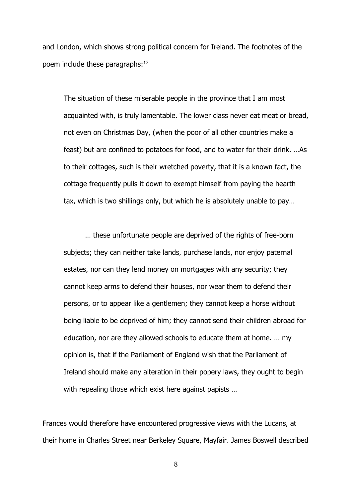and London, which shows strong political concern for Ireland. The footnotes of the poem include these paragraphs:<sup>12</sup>

The situation of these miserable people in the province that I am most acquainted with, is truly lamentable. The lower class never eat meat or bread, not even on Christmas Day, (when the poor of all other countries make a feast) but are confined to potatoes for food, and to water for their drink. …As to their cottages, such is their wretched poverty, that it is a known fact, the cottage frequently pulls it down to exempt himself from paying the hearth tax, which is two shillings only, but which he is absolutely unable to pay…

… these unfortunate people are deprived of the rights of free-born subjects; they can neither take lands, purchase lands, nor enjoy paternal estates, nor can they lend money on mortgages with any security; they cannot keep arms to defend their houses, nor wear them to defend their persons, or to appear like a gentlemen; they cannot keep a horse without being liable to be deprived of him; they cannot send their children abroad for education, nor are they allowed schools to educate them at home. … my opinion is, that if the Parliament of England wish that the Parliament of Ireland should make any alteration in their popery laws, they ought to begin with repealing those which exist here against papists ...

Frances would therefore have encountered progressive views with the Lucans, at their home in Charles Street near Berkeley Square, Mayfair. James Boswell described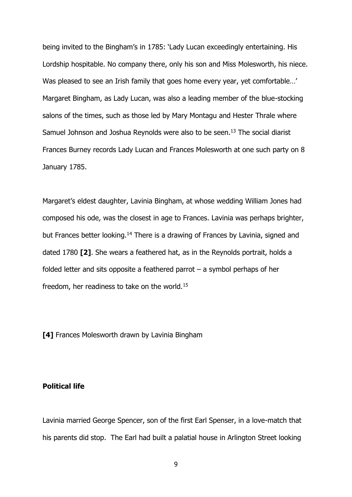being invited to the Bingham's in 1785: 'Lady Lucan exceedingly entertaining. His Lordship hospitable. No company there, only his son and Miss Molesworth, his niece. Was pleased to see an Irish family that goes home every year, yet comfortable...' Margaret Bingham, as Lady Lucan, was also a leading member of the blue-stocking salons of the times, such as those led by Mary Montagu and Hester Thrale where Samuel Johnson and Joshua Reynolds were also to be seen.<sup>13</sup> The social diarist Frances Burney records Lady Lucan and Frances Molesworth at one such party on 8 January 1785.

Margaret's eldest daughter, Lavinia Bingham, at whose wedding William Jones had composed his ode, was the closest in age to Frances. Lavinia was perhaps brighter, but Frances better looking.<sup>14</sup> There is a drawing of Frances by Lavinia, signed and dated 1780 **[2]**. She wears a feathered hat, as in the Reynolds portrait, holds a folded letter and sits opposite a feathered parrot – a symbol perhaps of her freedom, her readiness to take on the world.<sup>15</sup>

**[4]** Frances Molesworth drawn by Lavinia Bingham

# **Political life**

Lavinia married George Spencer, son of the first Earl Spenser, in a love-match that his parents did stop. The Earl had built a palatial house in Arlington Street looking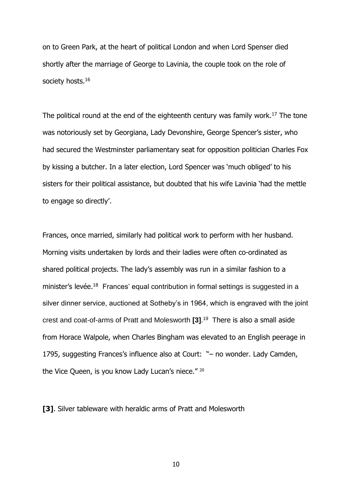on to Green Park, at the heart of political London and when Lord Spenser died shortly after the marriage of George to Lavinia, the couple took on the role of society hosts.<sup>16</sup>

The political round at the end of the eighteenth century was family work.<sup>17</sup> The tone was notoriously set by Georgiana, Lady Devonshire, George Spencer's sister, who had secured the Westminster parliamentary seat for opposition politician Charles Fox by kissing a butcher. In a later election, Lord Spencer was 'much obliged' to his sisters for their political assistance, but doubted that his wife Lavinia 'had the mettle to engage so directly'.

Frances, once married, similarly had political work to perform with her husband. Morning visits undertaken by lords and their ladies were often co-ordinated as shared political projects. The lady's assembly was run in a similar fashion to a minister's levée.<sup>18</sup> Frances' equal contribution in formal settings is suggested in a silver dinner service, auctioned at Sotheby's in 1964, which is engraved with the joint crest and coat-of-arms of Pratt and Molesworth **[3]**. 19 There is also a small aside from Horace Walpole, when Charles Bingham was elevated to an English peerage in 1795, suggesting Frances's influence also at Court: "– no wonder. Lady Camden, the Vice Queen, is you know Lady Lucan's niece." <sup>20</sup>

**[3]**. Silver tableware with heraldic arms of Pratt and Molesworth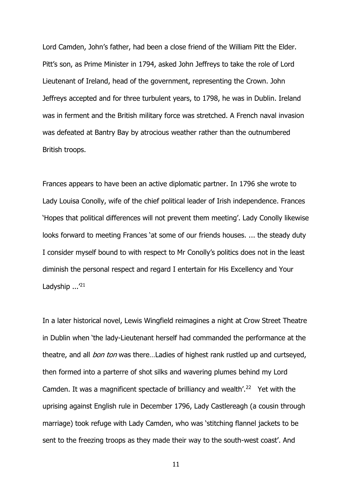Lord Camden, John's father, had been a close friend of the William Pitt the Elder. Pitt's son, as Prime Minister in 1794, asked John Jeffreys to take the role of Lord Lieutenant of Ireland, head of the government, representing the Crown. John Jeffreys accepted and for three turbulent years, to 1798, he was in Dublin. Ireland was in ferment and the British military force was stretched. A French naval invasion was defeated at Bantry Bay by atrocious weather rather than the outnumbered British troops.

Frances appears to have been an active diplomatic partner. In 1796 she wrote to Lady Louisa Conolly, wife of the chief political leader of Irish independence. Frances 'Hopes that political differences will not prevent them meeting'. Lady Conolly likewise looks forward to meeting Frances 'at some of our friends houses. ... the steady duty I consider myself bound to with respect to Mr Conolly's politics does not in the least diminish the personal respect and regard I entertain for His Excellency and Your Ladyship ...<sup>'21</sup>

In a later historical novel, Lewis Wingfield reimagines a night at Crow Street Theatre in Dublin when 'the lady-Lieutenant herself had commanded the performance at the theatre, and all *bon ton* was there...Ladies of highest rank rustled up and curtseyed, then formed into a parterre of shot silks and wavering plumes behind my Lord Camden. It was a magnificent spectacle of brilliancy and wealth'.<sup>22</sup> Yet with the uprising against English rule in December 1796, Lady Castlereagh (a cousin through marriage) took refuge with Lady Camden, who was 'stitching flannel jackets to be sent to the freezing troops as they made their way to the south-west coast'. And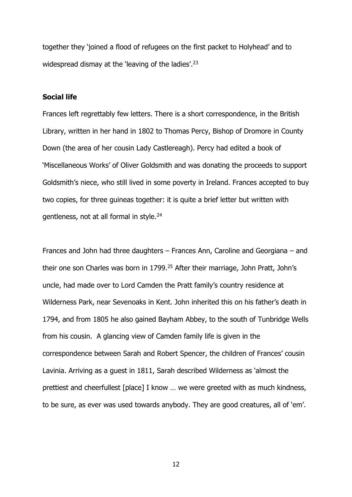together they 'joined a flood of refugees on the first packet to Holyhead' and to widespread dismay at the 'leaving of the ladies'.<sup>23</sup>

# **Social life**

Frances left regrettably few letters. There is a short correspondence, in the British Library, written in her hand in 1802 to Thomas Percy, Bishop of Dromore in County Down (the area of her cousin Lady Castlereagh). Percy had edited a book of 'Miscellaneous Works' of Oliver Goldsmith and was donating the proceeds to support Goldsmith's niece, who still lived in some poverty in Ireland. Frances accepted to buy two copies, for three guineas together: it is quite a brief letter but written with gentleness, not at all formal in style.<sup>24</sup>

Frances and John had three daughters – Frances Ann, Caroline and Georgiana – and their one son Charles was born in 1799.<sup>25</sup> After their marriage, John Pratt, John's uncle, had made over to Lord Camden the Pratt family's country residence at Wilderness Park, near Sevenoaks in Kent. John inherited this on his father's death in 1794, and from 1805 he also gained Bayham Abbey, to the south of Tunbridge Wells from his cousin. A glancing view of Camden family life is given in the correspondence between Sarah and Robert Spencer, the children of Frances' cousin Lavinia. Arriving as a guest in 1811, Sarah described Wilderness as 'almost the prettiest and cheerfullest [place] I know … we were greeted with as much kindness, to be sure, as ever was used towards anybody. They are good creatures, all of 'em'.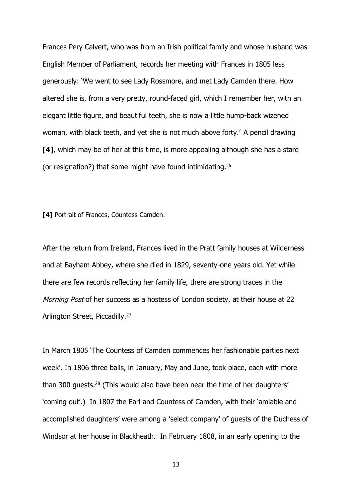Frances Pery Calvert, who was from an Irish political family and whose husband was English Member of Parliament, records her meeting with Frances in 1805 less generously: 'We went to see Lady Rossmore, and met Lady Camden there. How altered she is, from a very pretty, round-faced girl, which I remember her, with an elegant little figure, and beautiful teeth, she is now a little hump-back wizened woman, with black teeth, and yet she is not much above forty.' A pencil drawing **[4]**, which may be of her at this time, is more appealing although she has a stare (or resignation?) that some might have found intimidating.<sup>26</sup>

**[4]** Portrait of Frances, Countess Camden.

After the return from Ireland, Frances lived in the Pratt family houses at Wilderness and at Bayham Abbey, where she died in 1829, seventy-one years old. Yet while there are few records reflecting her family life, there are strong traces in the Morning Post of her success as a hostess of London society, at their house at 22 Arlington Street, Piccadilly.<sup>27</sup>

In March 1805 'The Countess of Camden commences her fashionable parties next week'. In 1806 three balls, in January, May and June, took place, each with more than 300 quests.<sup>28</sup> (This would also have been near the time of her daughters' 'coming out'.) In 1807 the Earl and Countess of Camden, with their 'amiable and accomplished daughters' were among a 'select company' of guests of the Duchess of Windsor at her house in Blackheath. In February 1808, in an early opening to the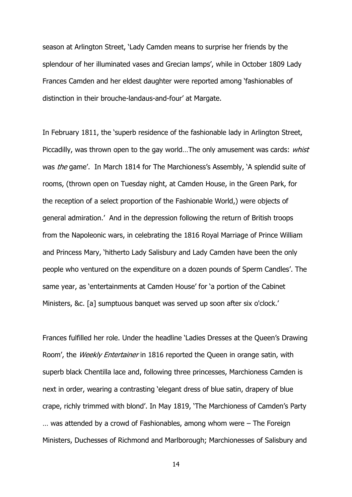season at Arlington Street, 'Lady Camden means to surprise her friends by the splendour of her illuminated vases and Grecian lamps', while in October 1809 Lady Frances Camden and her eldest daughter were reported among 'fashionables of distinction in their brouche-landaus-and-four' at Margate.

In February 1811, the 'superb residence of the fashionable lady in Arlington Street, Piccadilly, was thrown open to the gay world...The only amusement was cards: whist was the game'. In March 1814 for The Marchioness's Assembly, 'A splendid suite of rooms, (thrown open on Tuesday night, at Camden House, in the Green Park, for the reception of a select proportion of the Fashionable World,) were objects of general admiration.' And in the depression following the return of British troops from the Napoleonic wars, in celebrating the 1816 Royal Marriage of Prince William and Princess Mary, 'hitherto Lady Salisbury and Lady Camden have been the only people who ventured on the expenditure on a dozen pounds of Sperm Candles'. The same year, as 'entertainments at Camden House' for 'a portion of the Cabinet Ministers, &c. [a] sumptuous banquet was served up soon after six o'clock.'

Frances fulfilled her role. Under the headline 'Ladies Dresses at the Queen's Drawing Room', the Weekly Entertainer in 1816 reported the Queen in orange satin, with superb black Chentilla lace and, following three princesses, Marchioness Camden is next in order, wearing a contrasting 'elegant dress of blue satin, drapery of blue crape, richly trimmed with blond'. In May 1819, 'The Marchioness of Camden's Party … was attended by a crowd of Fashionables, among whom were – The Foreign Ministers, Duchesses of Richmond and Marlborough; Marchionesses of Salisbury and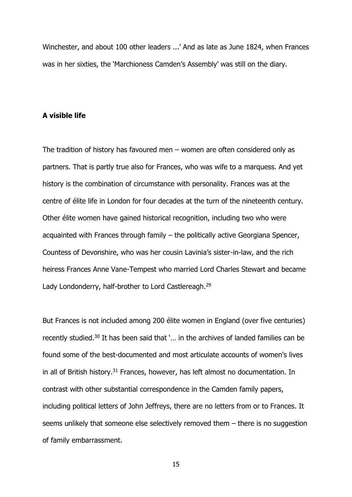Winchester, and about 100 other leaders ...' And as late as June 1824, when Frances was in her sixties, the 'Marchioness Camden's Assembly' was still on the diary.

#### **A visible life**

The tradition of history has favoured men – women are often considered only as partners. That is partly true also for Frances, who was wife to a marquess. And yet history is the combination of circumstance with personality. Frances was at the centre of élite life in London for four decades at the turn of the nineteenth century. Other élite women have gained historical recognition, including two who were acquainted with Frances through family – the politically active Georgiana Spencer, Countess of Devonshire, who was her cousin Lavinia's sister-in-law, and the rich heiress Frances Anne Vane-Tempest who married Lord Charles Stewart and became Lady Londonderry, half-brother to Lord Castlereagh.<sup>29</sup>

But Frances is not included among 200 élite women in England (over five centuries) recently studied.<sup>30</sup> It has been said that '… in the archives of landed families can be found some of the best-documented and most articulate accounts of women's lives in all of British history.<sup>31</sup> Frances, however, has left almost no documentation. In contrast with other substantial correspondence in the Camden family papers, including political letters of John Jeffreys, there are no letters from or to Frances. It seems unlikely that someone else selectively removed them – there is no suggestion of family embarrassment.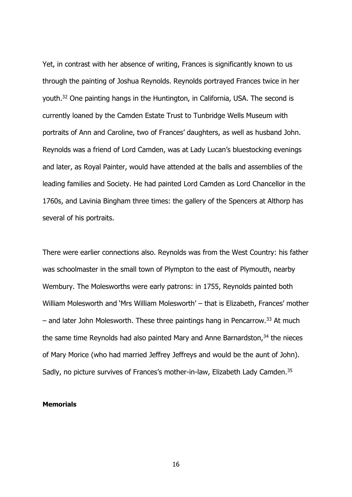Yet, in contrast with her absence of writing, Frances is significantly known to us through the painting of Joshua Reynolds. Reynolds portrayed Frances twice in her youth.<sup>32</sup> One painting hangs in the Huntington, in California, USA. The second is currently loaned by the Camden Estate Trust to Tunbridge Wells Museum with portraits of Ann and Caroline, two of Frances' daughters, as well as husband John. Reynolds was a friend of Lord Camden, was at Lady Lucan's bluestocking evenings and later, as Royal Painter, would have attended at the balls and assemblies of the leading families and Society. He had painted Lord Camden as Lord Chancellor in the 1760s, and Lavinia Bingham three times: the gallery of the Spencers at Althorp has several of his portraits.

There were earlier connections also. Reynolds was from the West Country: his father was schoolmaster in the small town of Plympton to the east of Plymouth, nearby Wembury. The Molesworths were early patrons: in 1755, Reynolds painted both William Molesworth and 'Mrs William Molesworth' – that is Elizabeth, Frances' mother  $-$  and later John Molesworth. These three paintings hang in Pencarrow.<sup>33</sup> At much the same time Reynolds had also painted Mary and Anne Barnardston, $34$  the nieces of Mary Morice (who had married Jeffrey Jeffreys and would be the aunt of John). Sadly, no picture survives of Frances's mother-in-law, Elizabeth Lady Camden.<sup>35</sup>

#### **Memorials**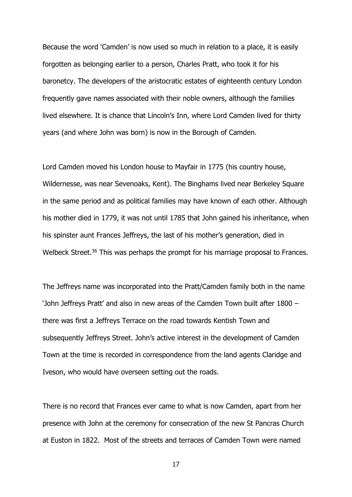Because the word 'Camden' is now used so much in relation to a place, it is easily forgotten as belonging earlier to a person, Charles Pratt, who took it for his baronetcy. The developers of the aristocratic estates of eighteenth century London frequently gave names associated with their noble owners, although the families lived elsewhere. It is chance that Lincoln's Inn, where Lord Camden lived for thirty years (and where John was born) is now in the Borough of Camden.

Lord Camden moved his London house to Mayfair in 1775 (his country house, Wildernesse, was near Sevenoaks, Kent). The Binghams lived near Berkeley Square in the same period and as political families may have known of each other. Although his mother died in 1779, it was not until 1785 that John gained his inheritance, when his spinster aunt Frances Jeffreys, the last of his mother's generation, died in Welbeck Street.<sup>36</sup> This was perhaps the prompt for his marriage proposal to Frances.

The Jeffreys name was incorporated into the Pratt/Camden family both in the name 'John Jeffreys Pratt' and also in new areas of the Camden Town built after 1800 – there was first a Jeffreys Terrace on the road towards Kentish Town and subsequently Jeffreys Street. John's active interest in the development of Camden Town at the time is recorded in correspondence from the land agents Claridge and Iveson, who would have overseen setting out the roads.

There is no record that Frances ever came to what is now Camden, apart from her presence with John at the ceremony for consecration of the new St Pancras Church at Euston in 1822. Most of the streets and terraces of Camden Town were named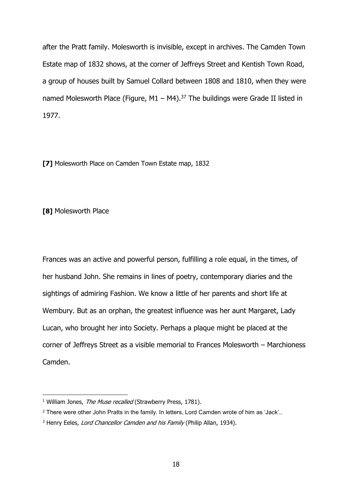after the Pratt family. Molesworth is invisible, except in archives. The Camden Town Estate map of 1832 shows, at the corner of Jeffreys Street and Kentish Town Road, a group of houses built by Samuel Collard between 1808 and 1810, when they were named Molesworth Place (Figure, M1 – M4).<sup>37</sup> The buildings were Grade II listed in 1977.

**[7]** Molesworth Place on Camden Town Estate map, 1832

## **[8]** Molesworth Place

-

Frances was an active and powerful person, fulfilling a role equal, in the times, of her husband John. She remains in lines of poetry, contemporary diaries and the sightings of admiring Fashion. We know a little of her parents and short life at Wembury. But as an orphan, the greatest influence was her aunt Margaret, Lady Lucan, who brought her into Society. Perhaps a plaque might be placed at the corner of Jeffreys Street as a visible memorial to Frances Molesworth – Marchioness Camden.

<sup>&</sup>lt;sup>1</sup> William Jones, The Muse recalled (Strawberry Press, 1781).

<sup>2</sup> There were other John Pratts in the family. In letters, Lord Camden wrote of him as 'Jack'..

<sup>&</sup>lt;sup>3</sup> Henry Eeles, Lord Chancellor Camden and his Family (Philip Allan, 1934).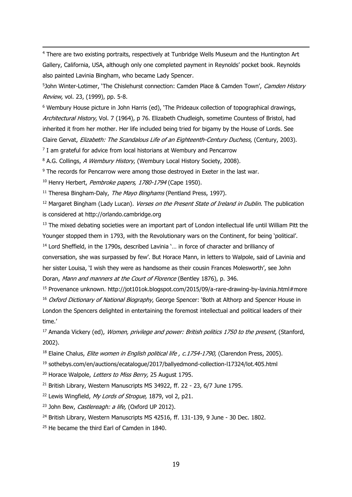<sup>4</sup> There are two existing portraits, respectively at Tunbridge Wells Museum and the Huntington Art Gallery, California, USA, although only one completed payment in Reynolds' pocket book. Reynolds also painted Lavinia Bingham, who became Lady Spencer.

<sup>5</sup>John Winter-Lotimer, 'The Chislehurst connection: Camden Place & Camden Town', Camden History Review, vol. 23, (1999), pp. 5-8.

<sup>6</sup> Wembury House picture in John Harris (ed), 'The Prideaux collection of topographical drawings, Architectural History, Vol. 7 (1964), p 76. Elizabeth Chudleigh, sometime Countess of Bristol, had inherited it from her mother. Her life included being tried for bigamy by the House of Lords. See Claire Gervat, Elizabeth: The Scandalous Life of an Eighteenth-Century Duchess, (Century, 2003).

<sup>7</sup> I am grateful for advice from local historians at Wembury and Pencarrow

<sup>8</sup> A.G. Collings, A Wembury History, (Wembury Local History Society, 2008).

<sup>9</sup> The records for Pencarrow were among those destroyed in Exeter in the last war.

<sup>10</sup> Henry Herbert, Pembroke papers, 1780-1794 (Cape 1950).

<sup>11</sup> Theresa Bingham-Daly, *The Mayo Binghams* (Pentland Press, 1997).

<sup>12</sup> Margaret Bingham (Lady Lucan). *Verses on the Present State of Ireland in Dublin*. The publication is considered at http://orlando.cambridge.org

<sup>13</sup> The mixed debating societies were an important part of London intellectual life until William Pitt the Younger stopped them in 1793, with the Revolutionary wars on the Continent, for being 'political'. <sup>14</sup> Lord Sheffield, in the 1790s, described Lavinia `... in force of character and brilliancy of

conversation, she was surpassed by few'. But Horace Mann, in letters to Walpole, said of Lavinia and her sister Louisa, 'I wish they were as handsome as their cousin Frances Molesworth', see John Doran, Mann and manners at the Court of Florence (Bentley 1876), p. 346.

<sup>15</sup> Provenance unknown. http://jot101ok.blogspot.com/2015/09/a-rare-drawing-by-lavinia.html#more <sup>16</sup> Oxford Dictionary of National Biography, George Spencer: 'Both at Althorp and Spencer House in London the Spencers delighted in entertaining the foremost intellectual and political leaders of their

time.'

-

<sup>17</sup> Amanda Vickery (ed), *Women, privilege and power: British politics 1750 to the present*, (Stanford, 2002).

<sup>18</sup> Elaine Chalus, *Elite women in English political life, c.1754-1790*, (Clarendon Press, 2005).

<sup>19</sup> sothebys.com/en/auctions/ecatalogue/2017/ballyedmond-collection-l17324/lot.405.html

<sup>20</sup> Horace Walpole, Letters to Miss Berry, 25 August 1795.

<sup>21</sup> British Library, Western Manuscripts MS 34922, ff. 22 - 23, 6/7 June 1795.

<sup>22</sup> Lewis Wingfield, My Lords of Strogue, 1879, vol 2, p21.

<sup>23</sup> John Bew, *Castlereagh: a life*, (Oxford UP 2012).

<sup>24</sup> British Library, Western Manuscripts MS 42516, ff. 131-139, 9 June - 30 Dec. 1802.

<sup>25</sup> He became the third Earl of Camden in 1840.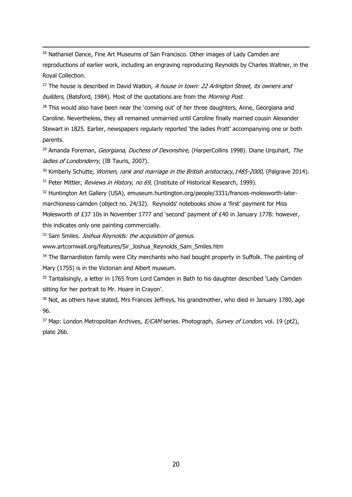<sup>26</sup> Nathaniel Dance, Fine Art Museums of San Francisco. Other images of Lady Camden are reproductions of earlier work, including an engraving reproducing Reynolds by Charles Waltner, in the Royal Collection.

 $27$  The house is described in David Watkin, A house in town: 22 Arlington Street, its owners and builders, (Batsford, 1984). Most of the quotations are from the Morning Post.

 $28$  This would also have been near the 'coming out' of her three daughters, Anne, Georgiana and Caroline. Nevertheless, they all remained unmarried until Caroline finally married cousin Alexander Stewart in 1825. Earlier, newspapers regularly reported 'the ladies Pratt' accompanying one or both parents.

<sup>29</sup> Amanda Foreman, Georgiana, Duchess of Devonshire, (HarperCollins 1998). Diane Urquhart, The ladies of Londonderry, (IB Tauris, 2007).

<sup>30</sup> Kimberly Schutte, *Women, rank and marriage in the British aristocracy, 1485-2000, (Palgrave 2014)*.  $31$  Peter Mittler, *Reviews in History, no 69*, (Institute of Historical Research, 1999).

<sup>32</sup> Huntington Art Gallery (USA), emuseum.huntington.org/people/3331/frances-molesworth-latermarchioness-camden (object no. 24/32). Reynolds' notebooks show a 'first' payment for Miss Molesworth of £37 10s in November 1777 and 'second' payment of £40 in January 1778: however, this indicates only one painting commercially.

<sup>33</sup> Sam Smiles. *Joshua Reynolds: the acquisition of genius*.

-

www.artcornwall.org/features/Sir\_Joshua\_Reynolds\_Sam\_Smiles.htm

<sup>34</sup> The Barnardiston family were City merchants who had bought property in Suffolk. The painting of Mary (1755) is in the Victorian and Albert museum.

35 Tantalisingly, a letter in 1765 from Lord Camden in Bath to his daughter described 'Lady Camden sitting for her portrait to Mr. Hoare in Crayon'.

<sup>36</sup> Not, as others have stated, Mrs Frances Jeffreys, his grandmother, who died in January 1780, age 96.

 $37$  Map: London Metropolitan Archives, *E/CAM* series. Photograph, *Survey of London*, vol. 19 (pt2), plate 26b.